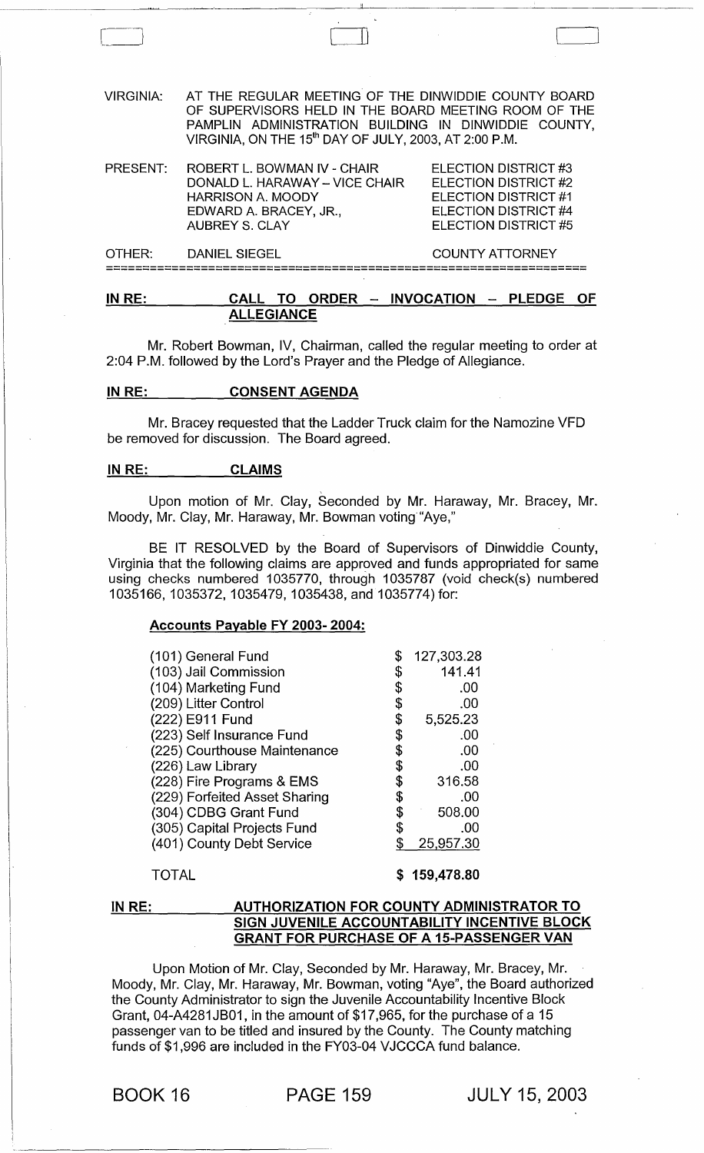VIRGINIA: AT THE REGULAR MEETING OF THE DINWIDDIE COUNTY BOARD OF SUPERVISORS HELD IN THE BOARD MEETING ROOM OF THE PAMPLIN ADMINISTRATION BUILDING IN DINWIDDIE COUNTY, VIRGINIA, ON THE 15<sup>th</sup> DAY OF JULY, 2003, AT 2:00 P.M.

 $\begin{pmatrix} 1 & 1 & 1 \\ 1 & 1 & 1 \\ 1 & 1 & 1 \end{pmatrix}$ 

| PRESENT: | ROBERT L. BOWMAN IV - CHAIR<br>DONALD L. HARAWAY - VICE CHAIR<br><b>HARRISON A. MOODY</b><br>EDWARD A. BRACEY, JR.,<br>AUBREY S. CLAY | ELECTION DISTRICT #3<br><b>ELECTION DISTRICT #2</b><br><b>ELECTION DISTRICT #1</b><br>ELECTION DISTRICT #4<br>ELECTION DISTRICT #5 |
|----------|---------------------------------------------------------------------------------------------------------------------------------------|------------------------------------------------------------------------------------------------------------------------------------|
| OTHER:   | DANIEL SIEGEL                                                                                                                         | <b>COUNTY ATTORNEY</b>                                                                                                             |

==================================================================

#### IN RE: CALL TO ORDER - INVOCATION - PLEDGE OF ALLEGIANCE

Mr. Robert Bowman, IV, Chairman, called the regular meeting to order at 2:04 P.M. followed by the Lord's Prayer and the Pledge of Allegiance.

#### IN RE: CONSENT AGENDA

Mr. Bracey requested that the Ladder Truck claim for the Namozine VFD be removed for discussion. The Board agreed.

#### IN RE: CLAIMS

Upon motion of Mr. Clay, Seconded by Mr. Haraway, Mr. Bracey, Mr. Moody, Mr. Clay, Mr. Haraway, Mr. Bowman voting "Aye,"

BE IT RESOLVED by the Board of Supervisors of Dinwiddie County, Virginia that the following claims are approved and funds appropriated for same using checks numbered 1035770, through 1035787 (void check(s) numbered 1035166,1035372,1035479,1035438, and 1035774) for:

#### Accounts Payable FY 2003- 2004:

#### TOTAL

\$ 159,478.80

#### IN RE: AUTHORIZATION FOR COUNTY ADMINISTRATOR TO SIGN JUVENILE ACCOUNTABILITY INCENTIVE BLOCK GRANT FOR PURCHASE OF A 15-PASSENGER VAN

Upon Motion of Mr. Clay, Seconded by Mr. Haraway, Mr. Bracey, Mr. Moody, Mr. Clay, Mr. Haraway, Mr. Bowman, voting "Aye", the Board authorized the County Administrator to sign the Juvenile Accountability Incentive Block Grant, 04-A4281 JB01, in the amount of \$17,965, for the purchase of a 15 passenger van to be titled and insured by the County. The County matching funds of \$1,996 are included in the FY03-04 VJCCCA fund balance.

BOOK 16 PAGE 159 JULY 15, 2003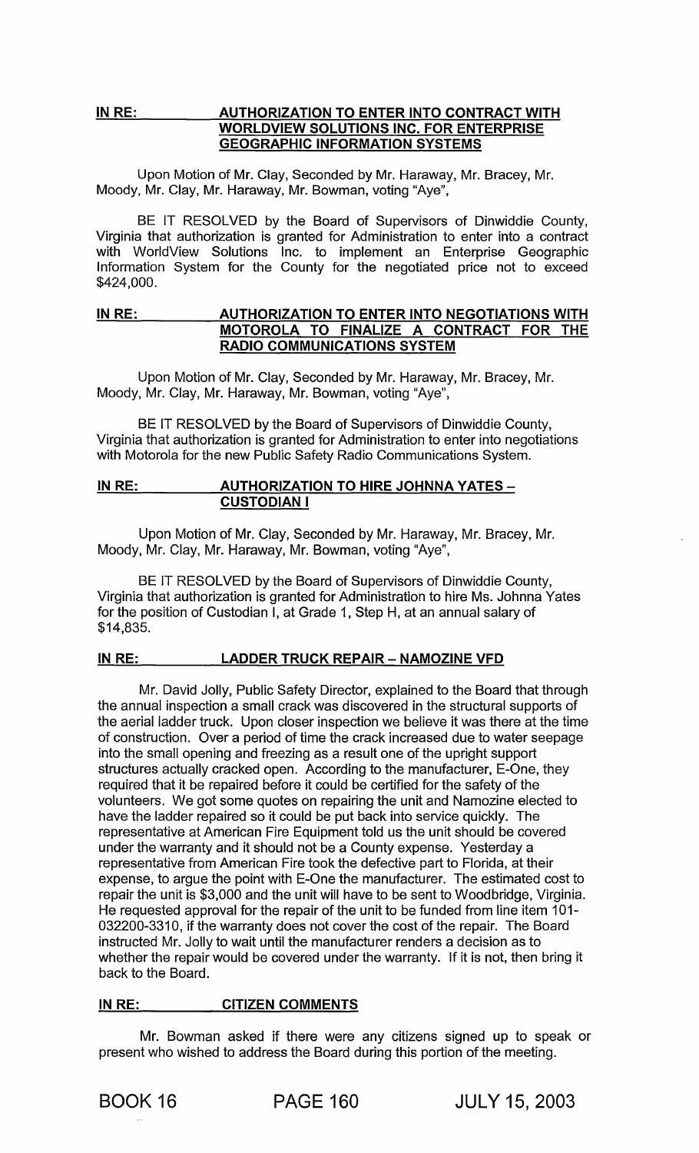#### INRE: AUTHORIZATION TO ENTER INTO CONTRACT WITH WORLDVIEW SOLUTIONS INC. FOR ENTERPRISE GEOGRAPHIC INFORMATION SYSTEMS

Upon Motion of Mr. Clay, Seconded by Mr. Haraway, Mr. Bracey, Mr. Moody, Mr. Clay, Mr. Haraway, Mr. Bowman, voting "Aye",

BE IT RESOLVED by the Board of Supervisors of Dinwiddie County, Virginia that authorization is granted for Administration to enter into a contract with WorldView Solutions Inc. to implement an Enterprise Geographic Information System for the County for the negotiated price not to exceed \$424,000.

#### IN RE: AUTHORIZATION TO ENTER INTO NEGOTIATIONS WITH MOTOROLA TO FINALIZE A CONTRACT FOR THE RADIO COMMUNICATIONS SYSTEM

Upon Motion of Mr. Clay, Seconded by Mr. Haraway, Mr. Bracey, Mr. Moody, Mr. Clay, Mr. Haraway, Mr. Bowman, voting "Aye",

BE IT RESOLVED by the Board of Supervisors of Dinwiddie County, Virginia that authorization is granted for Administration to enter into negotiations with Motorola for the new Public Safety Radio Communications System.

#### IN RE: AUTHORIZATION TO HIRE JOHNNA YATES -CUSTODIAN I

Upon Motion of Mr. Clay, Seconded by Mr. Haraway, Mr. Bracey, Mr. Moody, Mr. Clay, Mr. Haraway, Mr. Bowman, voting "Aye",

BE IT RESOLVED by the Board of Supervisors of Dinwiddie County, Virginia that authorization is granted for Administration to hire Ms. Johnna Yates for the position of Custodian I, at Grade 1, Step H, at an annual salary of \$14,835.

### IN RE: LADDER TRUCK REPAIR - NAMOZINE VFD

Mr. David Jolly, Public Safety Director, explained to the Board that through the annual inspection a small crack was discovered in the structural supports of the aerial ladder truck. Upon closer inspection we believe it was there at the time of construction. Over a period of time the crack increased due to water seepage into the small opening and freezing as a result one of the upright support structures actually cracked open. According to the manufacturer, E-One, they required that it be repaired before it could be certified for the safety of the volunteers. We got some quotes on repairing the unit and Namozine elected to have the ladder repaired so it could be put back into service quickly. The representative at American Fire Equipment told us the unit should be covered under the warranty and it should not be a County expense. Yesterday a representative from American Fire took the defective part to Florida, at their expense, to argue the point with E-One the manufacturer. The estimated cost to repair the unit is \$3,000 and the unit will have to be sent to Woodbridge, Virginia. He requested approval for the repair of the unit to be funded from line item 101- 032200-3310, if the warranty does not cover the cost of the repair. The Board instructed Mr. Jolly to wait until the manufacturer renders a decision as to whether the repair would be covered under the warranty. If it is not, then bring it back to the Board.

#### IN RE: CITIZEN COMMENTS

Mr. Bowman asked if there were any citizens signed up to speak or present who wished to address the Board during this portion of the meeting.

BOOK 16 PAGE 160 JULY 15, 2003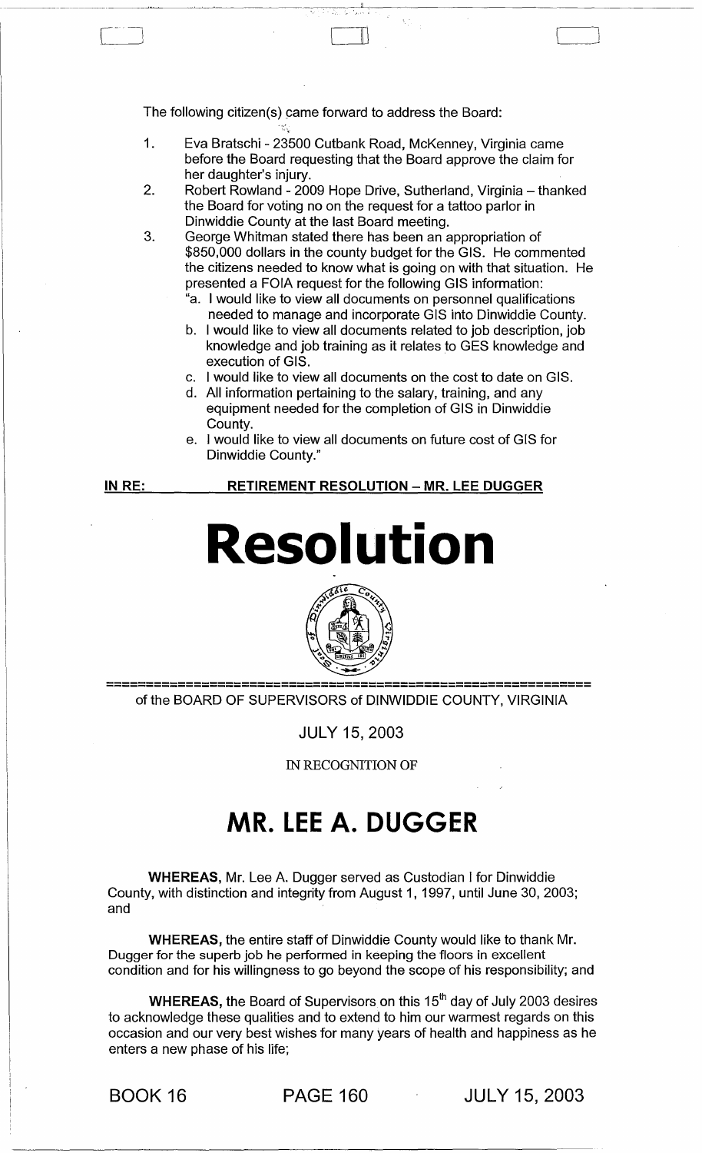The following citizen(s) came forward to address the Board:

1. Eva Bratschi - 23500 Cutbank Road, McKenney, Virginia came before the Board requesting that the Board approve the claim for her daughter's injury.

~~-""--""--~"--~-~-~~-------~~--;-'-,--------------------

 $\mathbb L$ 

 $\rfloor$ 

- 2. Robert Rowland - 2009 Hope Drive, Sutherland, Virginia - thanked the Board for voting no on the request for a tattoo parlor in Dinwiddie County at the last Board meeting.
- 3. George Whitman stated there has been an appropriation of \$850,000 dollars in the county budget for the GIS. He commented the citizens needed to know what is going on with that situation. He presented a FOIA request for the following GIS information:
	- "a. I would like to view all documents on personnel qualifications needed to manage and incorporate GIS into Dinwiddie County.
	- b. I would like to view all documents related to job description, job knowledge and job training as it relates to GES knowledge and execution of GIS.
	- c. I would like to view all documents on the cost to date on GIS.
	- d. All information pertaining to the salary, training, and any equipment needed for the completion of GIS in Dinwiddie County.
	- e. I would like to view all documents on future cost of GIS for Dinwiddie County."

IN RE:

**RETIREMENT RESOLUTION - MR. LEE DUGGER** 

# **Resolution**



of the BOARD OF SUPERVISORS of DINWIDDIE COUNTY, VIRGINIA

JULY 15, 2003

IN RECOGNITION OF

## **MR. LEE A. DUGGER**

WHEREAS, Mr. Lee A. Dugger served as Custodian I for Dinwiddie County, with distinction and integrity from August 1, 1997, until June 30, 2003; and

WHEREAS, the entire staff of Dinwiddie County would like to thank Mr. Dugger for the superb job he performed in keeping the floors in excellent condition and for his willingness to go beyond the scope of his responsibility; and

WHEREAS, the Board of Supervisors on this 15<sup>th</sup> day of July 2003 desires to acknowledge these qualities and to extend to him our warmest regards on this occasion and our very best wishes for many years of health and happiness as he enters a new phase of his life;

BOOK 16 PAGE 160 JULY 15, 2003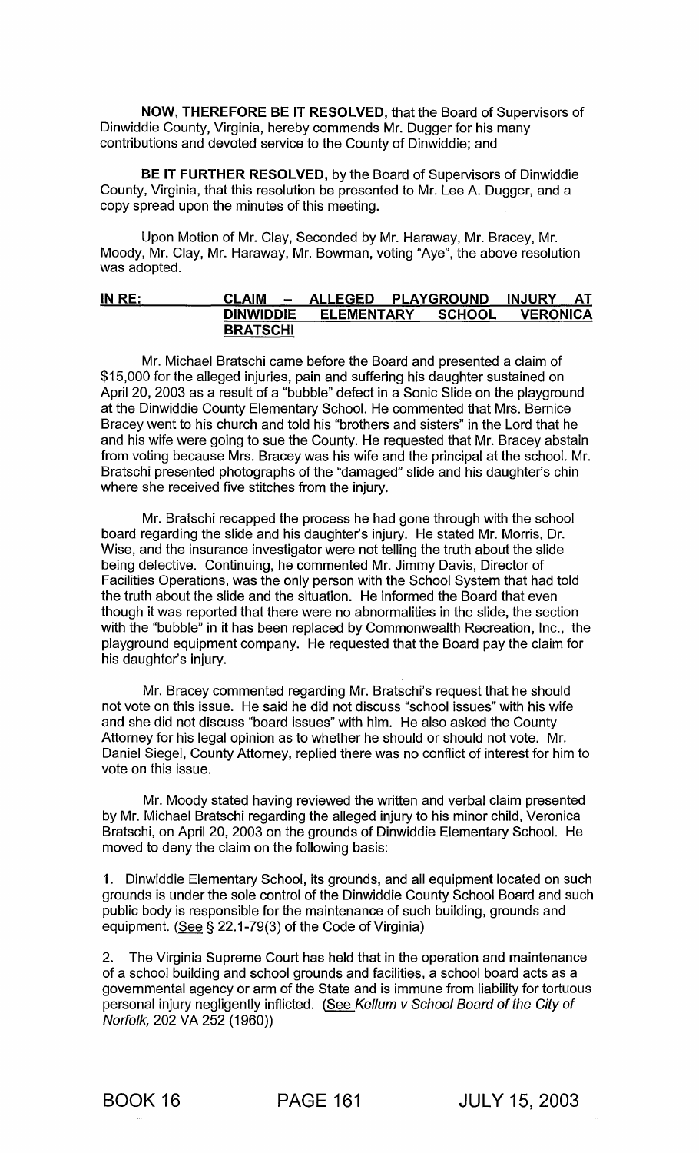NOW, THEREFORE BE IT RESOLVED, that the Board of Supervisors of Dinwiddie County, Virginia, hereby commends Mr. Dugger for his many contributions and devoted service to the County of Dinwiddie; and

BE IT FURTHER RESOLVED, by the Board of Supervisors of Dinwiddie County, Virginia, that this resolution be presented to Mr. Lee A. Dugger, and a copy spread upon the minutes of this meeting.

Upon Motion of Mr. Clay, Seconded by Mr. Haraway, Mr. Bracey, Mr. Moody, Mr. Clay, Mr. Haraway, Mr. Bowman, voting "Aye", the above resolution was adopted.

#### <u>IN RE: CLAIM – ALLEGED PLAYGROUND INJURY AT DINWIDDIE ELEMENTARY SCHOOL VERONICA</u> ELEMENTARY SCHOOL VERONICA **BRATSCHI**

Mr. Michael Bratschi came before the Board and presented a claim of \$15,000 for the alleged injuries, pain and suffering his daughter sustained on April 20, 2003 as a result of a "bubble" defect in a Sonic Slide on the playground at the Dinwiddie County Elementary School. He commented that Mrs. Bernice Bracey went to his church and told his "brothers and sisters" in the Lord that he and his wife were going to sue the County. He requested that Mr. Bracey abstain from voting because Mrs. Bracey was his wife and the principal at the school. Mr. Bratschi presented photographs of the "damaged" slide and his daughter's chin where she received five stitches from the injury.

Mr. Bratschi recapped the process he had gone through with the school board regarding the slide and his daughter's injury. He stated Mr. Morris, Dr. Wise, and the insurance investigator were not telling the truth about the slide being defective. Continuing, he commented Mr. Jimmy Davis, Director of Facilities Operations, was the only person with the School System that had told the truth about the slide and the situation. He informed the Board that even though it was reported that there were no abnormalities in the slide, the section with the "bubble" in it has been replaced by Commonwealth Recreation, Inc., the playground equipment company. He requested that the Board pay the claim for his daughter's injury.

Mr. Bracey commented regarding Mr. Bratschi's request that he should not vote on this issue. He said he did not discuss "school issues" with his wife and she did not discuss "board issues" with him. He also asked the County Attorney for his legal opinion as to whether he should or should not vote. Mr. Daniel Siegel, County Attorney, replied there was no conflict of interest for him to vote on this issue.

Mr. Moody stated having reviewed the written and verbal claim presented by Mr. Michael Bratschi regarding the alleged injury to his minor child, Veronica Bratschi, on April 20, 2003 on the grounds of Dinwiddie Elementary School. He moved to deny the claim on the following basis:

1. Dinwiddie Elementary School, its grounds, and all equipment located on such grounds is under the sole control of the Dinwiddie County School Board and such public body is responsible for the maintenance of such building, grounds and equipment. (See § 22.1-79(3) of the Code of Virginia)

2. The Virginia Supreme Court has held that in the operation and maintenance of a school building and school grounds and facilities, a school board acts as a governmental agency or arm of the State and is immune from liability for tortuous personal injury negligently inflicted. (See Kellum v School Board of the City of Norfolk, 202 VA 252 (1960))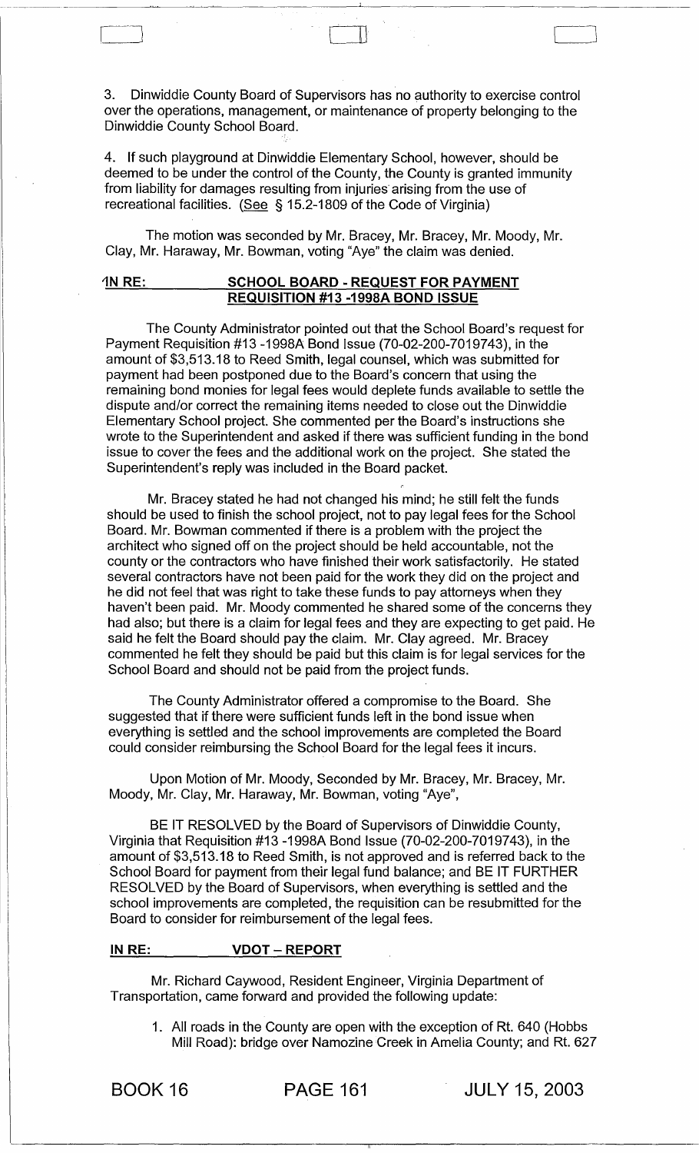3. Dinwiddie County Board of Supervisors has no authority to exercise control over the operations, management, or maintenance of property belonging to the Dinwiddie County School Board.

 $\begin{bmatrix} 1 & 1 & 1 & 1 \ 1 & 1 & 1 & 1 \end{bmatrix}$ 

4. If such playground at Dinwiddie Elementary School, however, should be deemed to be under the control of the County, the County is granted immunity from liability for damages resulting from injuries' arising from the use of recreational facilities. (See § 15.2-1809 of the Code of Virginia)

The motion was seconded by Mr. Bracey, Mr. Bracey, Mr. Moody, Mr. Clay, Mr. Haraway, Mr. Bowman, voting "Aye" the claim was denied.

#### 1N RE: SCHOOL BOARD - REQUEST FOR PAYMENT REQUISITION #13 -1998A BOND ISSUE

The County Administrator pointed out that the School Board's request for Payment Requisition #13 -1998A Bond Issue (70-02-200-7019743), in the amount of \$3,513.18 to Reed Smith, legal counsel, which was submitted for payment had been postponed due to the Board's concern that using the remaining bond monies for legal fees would deplete funds available to settle the dispute and/or correct the remaining items needed to close out the Dinwiddie Elementary School project. She commented per the Board's instructions she wrote to the Superintendent and asked if there was sufficient funding in the bond issue to cover the fees and the additional work on the project. She stated the Superintendent's reply was included in the Board packet.

Mr. Bracey stated he had not changed his mind; he still felt the funds should be used to finish the school project, not to pay legal fees for the School Board. Mr. Bowman commented if there is a problem with the project the architect who signed off on the project should be held accountable, not the county or the contractors who have finished their work satisfactorily. He stated several contractors have not been paid for the work they did on the project and he did not feel that was right to take these funds to pay attorneys when they haven't been paid. Mr. Moody commented he shared some of the concerns they had also; but there is a claim for legal fees and they are expecting to get paid. He said he felt the Board should pay the claim. Mr. Clay agreed. Mr. Bracey commented he felt they should be paid but this claim is for legal services for the School Board and should not be paid from the project funds.

The County Administrator offered a compromise to the Board. She suggested that if there were sufficient funds left in the bond issue when everything is settled and the school improvements are completed the Board could consider reimbursing the School Board for the legal fees it incurs.

Upon Motion of Mr. Moody, Seconded by Mr. Bracey, Mr. Bracey, Mr. Moody, Mr. Clay, Mr. Haraway, Mr. Bowman, voting "Aye",

BE IT RESOLVED by the Board of Supervisors of Dinwiddie County, Virginia that Requisition #13 -1998A Bond Issue (70-02-200-7019743), in the amount of \$3,513.18 to Reed Smith, is not approved and is referred back to the School Board for payment from their legal fund balance; and BE IT FURTHER RESOLVED by the Board of Supervisors, when everything is settled and the school improvements are completed, the requisition can be resubmitted for the Board to consider for reimbursement of the legal fees.

#### IN RE: VDOT - REPORT

Mr. Richard Caywood, Resident Engineer, Virginia Department of Transportation, came forward and provided the following update:

1. All roads in the County are open with the exception of Rt. 640 (Hobbs Mill Road): bridge over Namozine Greek in Amelia County; and Rt. 627

BOOK 16 PAGE 161 JULY 15, 2003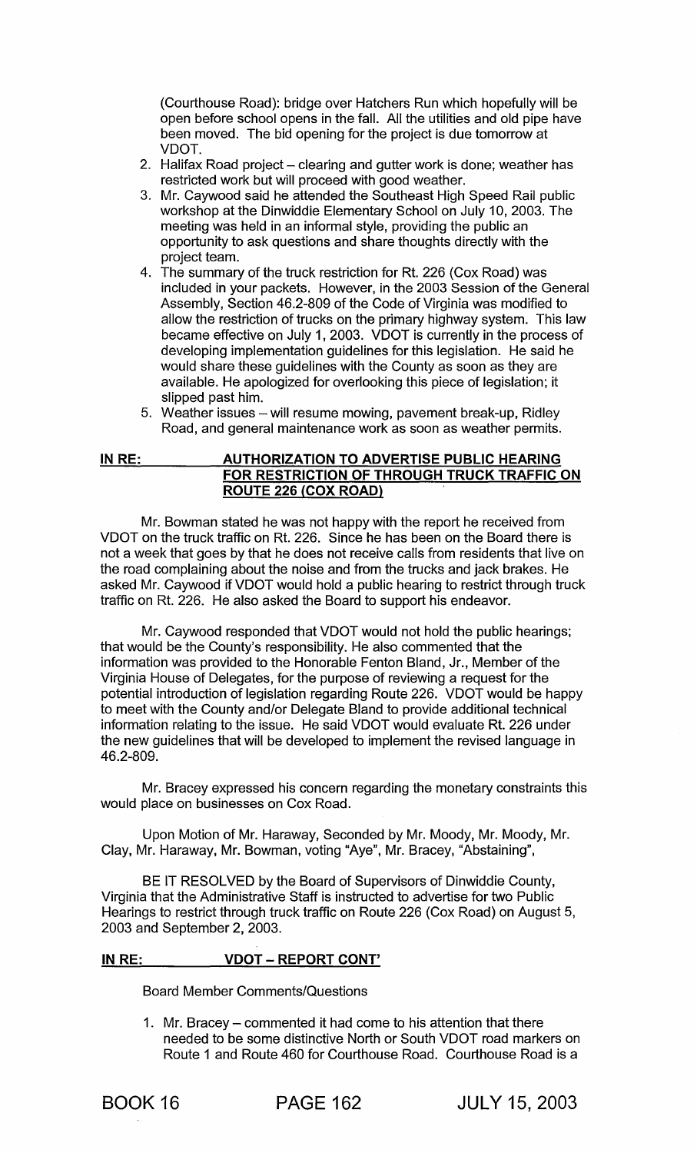(Courthouse Road): bridge over Hatchers Run which hopefully will be open before school opens in the fall. All the utilities and old pipe have been moved. The bid opening for the project is due tomorrow at VDOT.

- 2. Halifax Road project clearing and gutter work is done; weather has restricted work but will proceed with good weather.
- 3. Mr. Caywood said he attended the Southeast High Speed Rail public workshop at the Dinwiddie Elementary School on July 10, 2003. The meeting was held in an informal style, providing the public an opportunity to ask questions and share thoughts directly with the project team.
- 4. The summary of the truck restriction for Rt. 226 (Cox Road) was included in your packets. However, in the 2003 Session of the General Assembly, Section 46.2-809 of the Code of Virginia was modified to allow the restriction of trucks on the primary highway system. This law became effective on July 1, 2003. VDOT is currently in the process of developing implementation guidelines for this legislation. He said he would share these guidelines with the County as soon as they are available. He apologized for overlooking this piece of legislation; it slipped past him.
- 5. Weather issues will resume mowing, pavement break-up, Ridley Road, and general maintenance work as soon as weather permits.

#### IN RE: AUTHORIZATION TO ADVERTISE PUBLIC HEARING FOR RESTRICTION OF THROUGH TRUCK TRAFFIC ON ROUTE 226 (COX ROAD)

Mr. Bowman stated he was not happy with the report he received from VDOT on the truck traffic on Rt. 226. Since he has been on the Board there is not a week that goes by that he does not receive calls from residents that live on the road complaining about the noise and from the trucks and jack brakes. He asked Mr. Caywood if VDOT would hold a public hearing to restrict through truck traffic on Rt. 226. He also asked the Board to support his endeavor.

Mr. Caywood responded that VDOT would not hold the public hearings; that would be the County's responsibility. He also commented that the information was provided to the Honorable Fenton Bland, Jr., Member of the Virginia House of Delegates, for the purpose of reviewing a request for the potential introduction of legislation regarding Route 226. VDOT would be happy to meet with the County and/or Delegate Bland to provide additional technical information relating to the issue. He said VDOT would evaluate Rt. 226 under the new guidelines that will be developed to implement the revised language in 46.2-809.

Mr. Bracey expressed his concern regarding the monetary constraints this would place on businesses on Cox Road.

Upon Motion of Mr. Haraway, Seconded by Mr. Moody, Mr. Moody, Mr. Clay, Mr. Haraway, Mr. Bowman, voting "Aye", Mr. Bracey, "Abstaining",

BE IT RESOLVED by the Board of Supervisors of Dinwiddie County, Virginia that the Administrative Staff is instructed to advertise for two Public Hearings to restrict through truck traffic on Route 226 (Cox Road) on August 5, 2003 and September 2, 2003.

### IN RE: VDOT - REPORT CONT'

Board Member Comments/Questions

1. Mr. Bracey - commented it had come to his attention that there needed to be some distinctive North or South VDOT road markers on Route 1 and Route 460 for Courthouse Road. Courthouse Road is a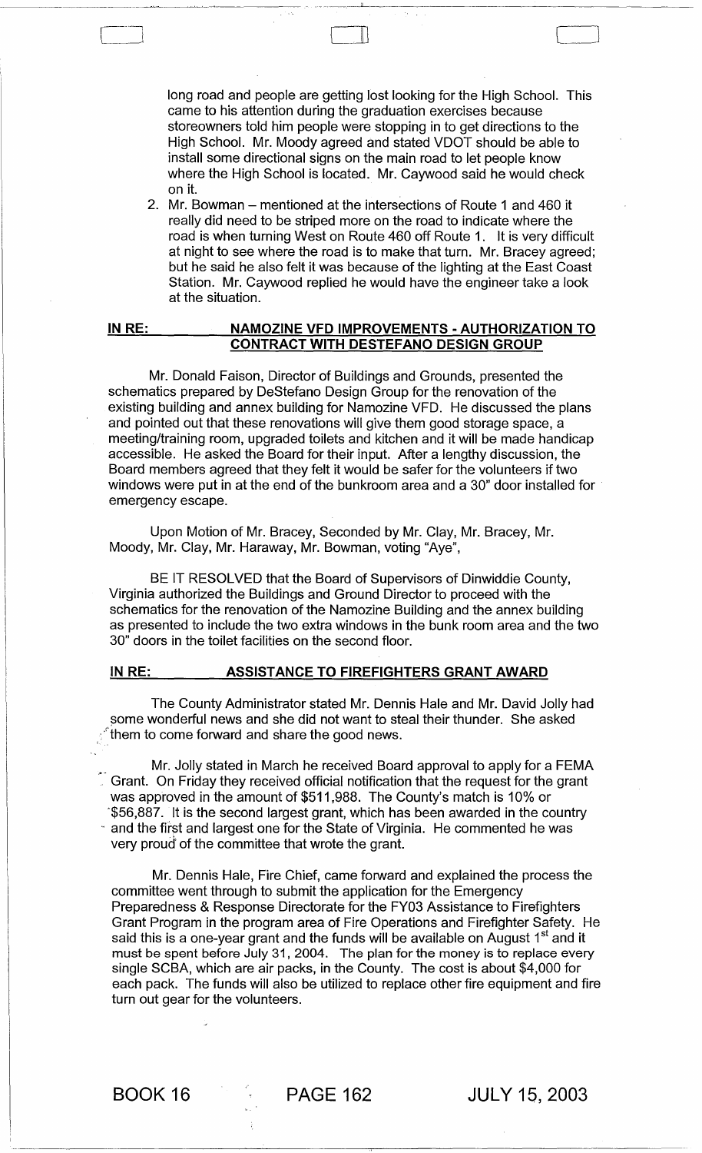long road and people are getting lost looking for the High School. This came to his attention during the graduation exercises because storeowners told him people were stopping in to get directions to the High School. Mr. Moody agreed and stated VDOT should be able to install some directional signs on the main road to let people know where the High School is located. Mr. Caywood said he would check on it.

 $\sqcup$  .

\_~~~ \_\_\_ <sup>~</sup>\_ . \_\_ .\_~\_\_\_\_\_'L \_\_\_\_\_\_\_\_\_ ~ \_\_\_\_\_\_\_\_ \_

2. Mr. Bowman – mentioned at the intersections of Route 1 and 460 it really did need to be striped more on the road to indicate where the road is when turning West on Route 460 off Route 1. It is very difficult at night to see where the road is to make that turn. Mr. Bracey agreed; but he said he also felt it was because of the lighting at the East Coast Station. Mr. Caywood replied he would have the engineer take a look at the situation.

#### IN RE: NAMOZINE VFD IMPROVEMENTS - AUTHORIZATION TO CONTRACT WITH DESTEFANO DESIGN GROUP

Mr. Donald Faison, Director of Buildings and Grounds, presented the schematics prepared by DeStefano Design Group for the renovation of the existing building and annex building for Namozine VFD. He discussed the plans and pointed out that these renovations will give them good storage space, a meeting/training room, upgraded toilets and kitchen and it will be made handicap accessible. He asked the Board for their input. After a lengthy discussion, the Board members agreed that they felt it would be safer for the volunteers if two windows were put in at the end of the bunkroom area and a 30" door installed for emergency escape.

Upon Motion of Mr. Bracey, Seconded by Mr. Clay, Mr. Bracey, Mr. Moody, Mr. Clay, Mr. Haraway, Mr. Bowman, voting "Aye",

BE IT RESOLVED that the Board of Supervisors of Dinwiddie County, Virginia authorized the Buildings and Ground Director to proceed with the schematics for the renovation of the Namozine Building and the annex building as presented to include the two extra windows in the bunk room area and the two 30" doors in the toilet facilities on the second floor.

#### IN RE: ASSISTANCE TO FIREFIGHTERS GRANT AWARD

The County Administrator stated Mr. Dennis Hale and Mr. David Jolly had some wonderful news and she did not want to steal their thunder. She asked  $\hat{\ }$ them to come forward and share the good news.

Mr. Jolly stated in March he received Board approval to apply for a FEMA Grant. On Friday they received official notification that the request for the grant was approved in the amount of \$511 ,988. The County's match is 10% or '\$56,887. It is the second largest grant, which has been awarded in the country and the first and largest one for the State of Virginia. He commented he was very proud of the committee that wrote the grant.

Mr. Dennis Hale, Fire Chief, came forward and explained the process the committee went through to submit the application for the Emergency Preparedness & Response Directorate for the FY03 Assistance to Firefighters Grant Program in the program area of Fire Operations and Firefighter Safety. He said this is a one-year grant and the funds will be available on August 1<sup>st</sup> and it must be spent before July 31, 2004. The plan for the money is to replace every single SCBA, which are air packs, in the County. The cost is about \$4,000 for each pack. The funds will also be utilized to replace other fire equipment and fire turn out gear for the volunteers.

BOOK 16 PAGE 162 JULY 15, 2003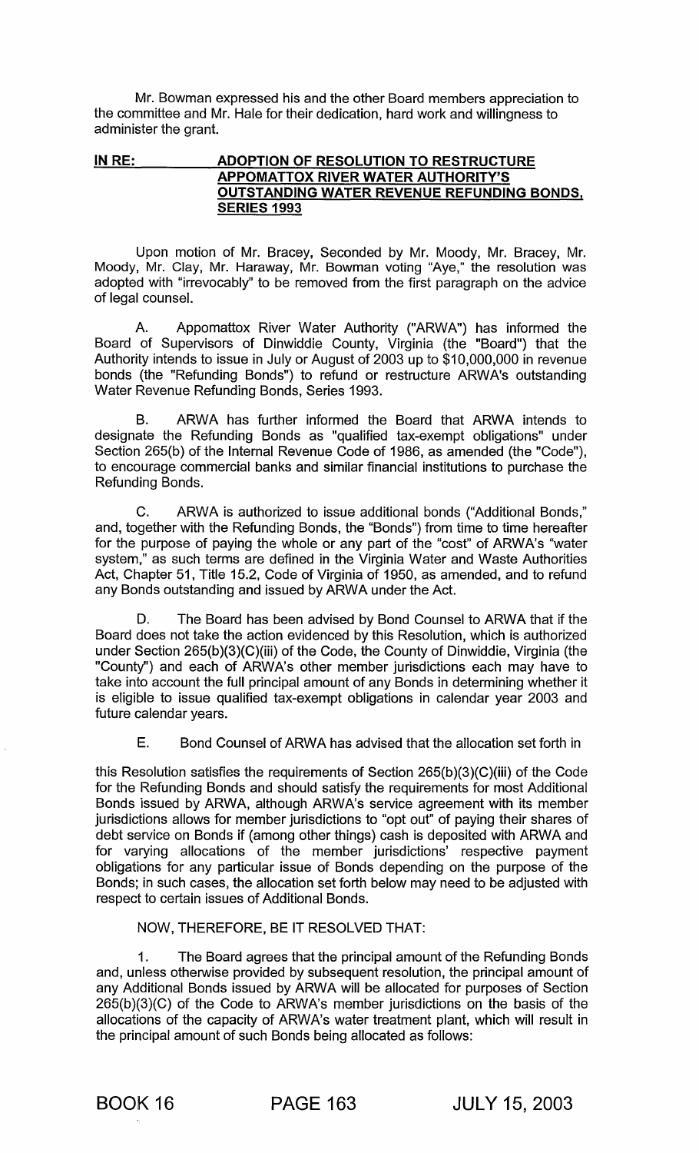Mr. Bowman expressed his and the other Board members appreciation to the committee and Mr. Hale for their dedication, hard work and willingness to administer the grant.

#### IN RE: ADOPTION OF RESOLUTION TO RESTRUCTURE APPOMATTOX RIVER WATER AUTHORITY'S OUTSTANDING WATER REVENUE REFUNDING BONDS, SERIES 1993

Upon motion of Mr. Bracey, Seconded by Mr. Moody, Mr. Bracey, Mr. Moody, Mr. Clay, Mr. Haraway, Mr. Bowman voting "Aye," the resolution was adopted with "irrevocably" to be removed from the first paragraph on the advice of legal counsel.

A. Appomattox River Water Authority ("ARWA") has informed the Board of Supervisors of Dinwiddie County, Virginia (the "Board") that the Authority intends to issue in July or August of 2003 up to \$10,000,000 in revenue bonds (the "Refunding Bonds") to refund or restructure ARWA's outstanding Water Revenue Refunding Bonds, Series 1993.

B. ARWA has further informed the Board that ARWA intends to designate the Refunding Bonds as "qualified tax-exempt obligations" under Section 265(b) of the Internal Revenue Code of 1986, as amended (the "Code"), to encourage commercial banks and similar financial institutions to purchase the Refunding Bonds.

C. ARWA is authorized to issue additional bonds ("Additional Bonds," and, together with the Refunding Bonds, the "Bonds") from time to time hereafter for the purpose of paying the whole or any part of the "cost" of ARWA's "water system," as such terms are defined in the Virginia Water and Waste Authorities Act, Chapter 51, Title 15.2, Code of Virginia of 1950, as amended, and to refund any Bonds outstanding and issued by ARWA under the Act.

D. The Board has been advised by Bond Counsel to ARWA that if the Board does not take the action evidenced by this Resolution, which is authorized under Section 265(b)(3)(C)(iii) of the Code, the County of Dinwiddie, Virginia (the "County") and each of ARWA's other member jurisdictions each may have to take into account the full principal amount of any Bonds in determining whether it is eligible to issue qualified tax-exempt obligations in calendar year 2003 and future calendar years.

E. Bond Counsel of ARWA has advised that the allocation set forth in

this Resolution satisfies the requirements of Section 265(b)(3)(C)(iii) of the Code for the Refunding Bonds and should satisfy the requirements for most Additional Bonds issued by ARWA, although ARWA's service agreement with its member jurisdictions allows for member jurisdictions to "opt out" of paying their shares of debt service on Bonds if (among other things) cash is deposited with ARWA and for varying allocations of the member jurisdictions' respective payment obligations for any particular issue of Bonds depending on the purpose of the Bonds; in such cases, the allocation set forth below may need to be adjusted with respect to certain issues of Additional Bonds.

NOW, THEREFORE, BE IT RESOLVED THAT:

1. The Board agrees that the principal amount of the Refunding Bonds and, unless otherwise provided by subsequent resolution, the principal amount of any Additional Bonds issued by ARWA will be allocated for purposes of Section 265(b)(3)(C) of the Code to ARWA's member jurisdictions on the basis of the allocations of the capacity of ARWA's water treatment plant, which will result in the principal amount of such Bonds being allocated as follows: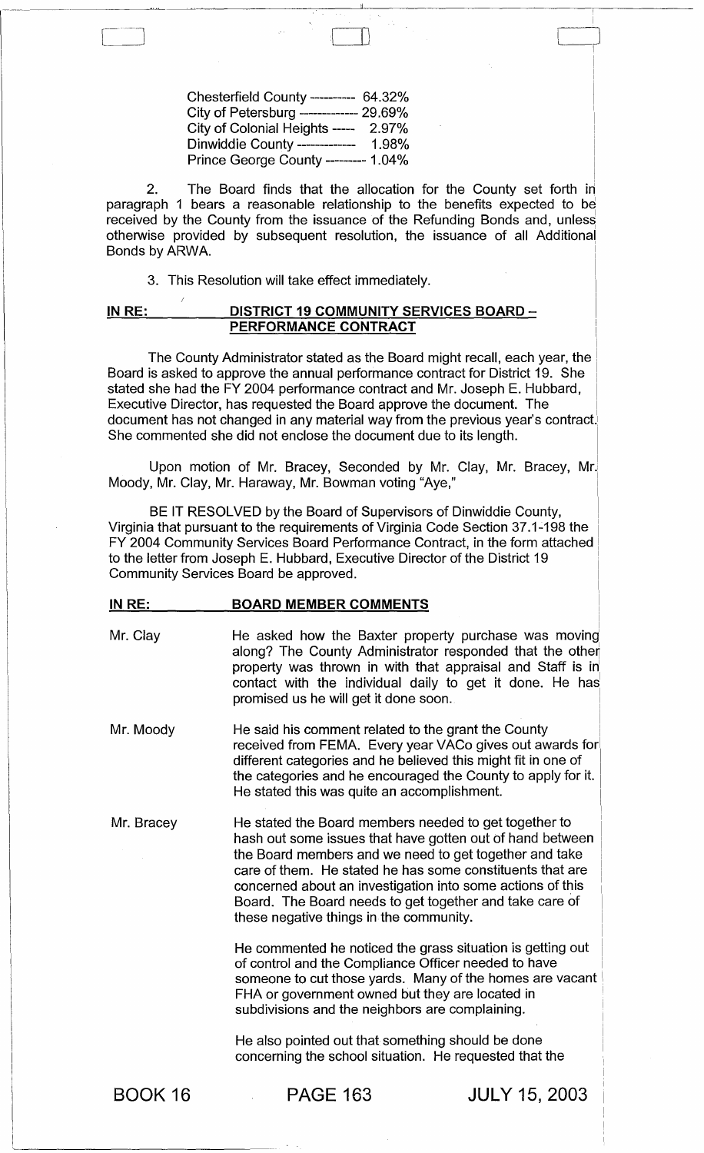| Chesterfield County ---------- 64.32%   |  |
|-----------------------------------------|--|
| City of Petersburg ------------- 29.69% |  |
| City of Colonial Heights ----- 2.97%    |  |
| Dinwiddie County -------------- 1.98%   |  |
| Prince George County --------- 1.04%    |  |

I 2. The Board finds that the allocation for the County set forth in paragraph 1 bears a reasonable relationship to the benefits expected to be received by the County from the issuance of the Refunding Bonds and, unless otherwise provided by subsequent resolution, the issuance of all Additiona Bonds by ARWA.

----------------~--~~~------~----'"------------~---,-------

 $\begin{pmatrix} 1 & 1 & 1 \ 1 & 1 & 1 \end{pmatrix}$ 

I I I

3. This Resolution will take effect immediately.

#### IN RE: DISTRICT 19 COMMUNITY SERVICES BOARD  $-$ PERFORMANCE CONTRACT

The County Administrator stated as the Board might recall, each year, the Board is asked to approve the annual performance contract for District 19. She stated she had the FY 2004 performance contract and Mr. Joseph E. Hubbard, Executive Director, has requested the Board approve the document. The document has not changed in any material way from the previous year's contract. She commented she did not enclose the document due to its length.

Upon motion of Mr. Bracey, Seconded by Mr. Clay, Mr. Bracey, Mr. Moody, Mr. Clay, Mr. Haraway, Mr. Bowman voting "Aye,"

BE IT RESOLVED by the Board of Supervisors of Dinwiddie County, Virginia that pursuant to the requirements of Virginia Code Section 37.1-198 the FY 2004 Community Services Board Performance Contract, in the form attached to the letter from Joseph E. Hubbard, Executive Director of the District 19 Community Services Board be approved.

#### IN RE: BOARD MEMBER COMMENTS

- Mr. Clay **He asked how the Baxter property purchase was moving** along? The County Administrator responded that the other property was thrown in with that appraisal and Staff is in' contact with the individual daily to get it done. He has promised us he will get it done soon.
- I Mr. Moody He said his comment related to the grant the County received from FEMA. Every year VACo gives out awards for different categories and he believed this might fit in one of the categories and he encouraged the County to apply for it. He stated this was quite an accomplishment.
- Mr. Bracey He stated the Board members needed to get together to hash out some issues that have gotten out of hand between the Board members and we need to get together and take care of them. He stated he has some constituents that are concerned about an investigation into some actions of this Board. The Board needs to get together and take care of these negative things in the community.

He commented he noticed the grass situation is getting out of control and the Compliance Officer needed to have someone to cut those yards. Many of the homes are vacant FHA or government owned but they are located in subdivisions and the neighbors are complaining.

He also pointed out that something should be done concerning the school situation. He requested that the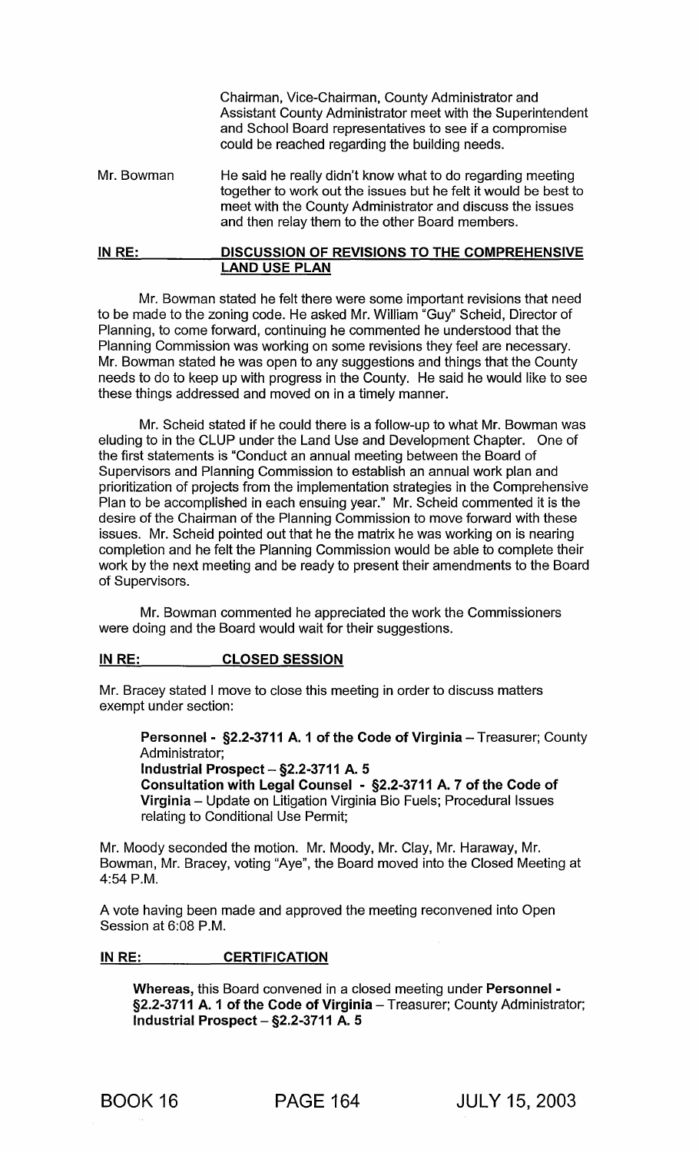Chairman, Vice-Chairman, County Administrator and Assistant County Administrator meet with the Superintendent and School Board representatives to see if a compromise could be reached regarding the building needs.

- Mr. Bowman He said he really didn't know what to do regarding meeting together to work out the issues but he felt it would be best to meet with the County Administrator and discuss the issues and then relay them to the other Board members.
- IN RE: DISCUSSION OF REVISIONS TO THE COMPREHENSIVE LAND USE PLAN

Mr. Bowman stated he felt there were some important revisions that need to be made to the zoning code. He asked Mr. William "Guy" Scheid, Director of Planning, to come forward, continuing he commented he understood that the Planning Commission was working on some revisions they feel are necessary. Mr. Bowman stated he was open to any suggestions and things that the County needs to do to keep up with progress in the County. He said he would like to see these things addressed and moved on in a timely manner.

Mr. Scheid stated if he could there is a follow-up to what Mr. Bowman was eluding to in the CLUP under the Land Use and Development Chapter. One of the first statements is "Conduct an annual meeting between the Board of Supervisors and Planning Commission to establish an annual work plan and prioritization of projects from the implementation strategies in the Comprehensive Plan to be accomplished in each ensuing year." Mr. Scheid commented it is the desire of the Chairman of the Planning Commission to move forward with these issues. Mr. Scheid pointed out that he the matrix he was working on is nearing completion and he felt the Planning Commission would be able to complete their work by the next meeting and be ready to present their amendments to the Board of Supervisors.

Mr. Bowman commented he appreciated the work the Commissioners were doing and the Board would wait for their suggestions.

#### INRE: CLOSED SESSION

Mr. Bracey stated I move to close this meeting in order to discuss matters exempt under section:

Personnel - §2.2-3711 A. 1 of the Code of Virginia - Treasurer; County Administrator; Industrial Prospect  $-$  §2.2-3711 A. 5 Consultation with Legal Counsel - §2.2-3711 A. 7 of the Code of Virginia - Update on Litigation Virginia Bio Fuels; Procedural Issues relating to Conditional Use Permit;

Mr. Moody seconded the motion. Mr. Moody, Mr. Clay, Mr. Haraway, Mr. Bowman, Mr. Bracey, voting "Aye", the Board moved into the Closed Meeting at 4:54 P.M.

A vote having been made and approved the meeting reconvened into Open Session at 6:08 P.M.

#### IN RE: CERTIFICATION

Whereas, this Board convened in a closed meeting under Personnel - §2.2-3711 A. 1 of the Code of Virginia - Treasurer; County Administrator; Industrial Prospect  $-$  §2.2-3711 A. 5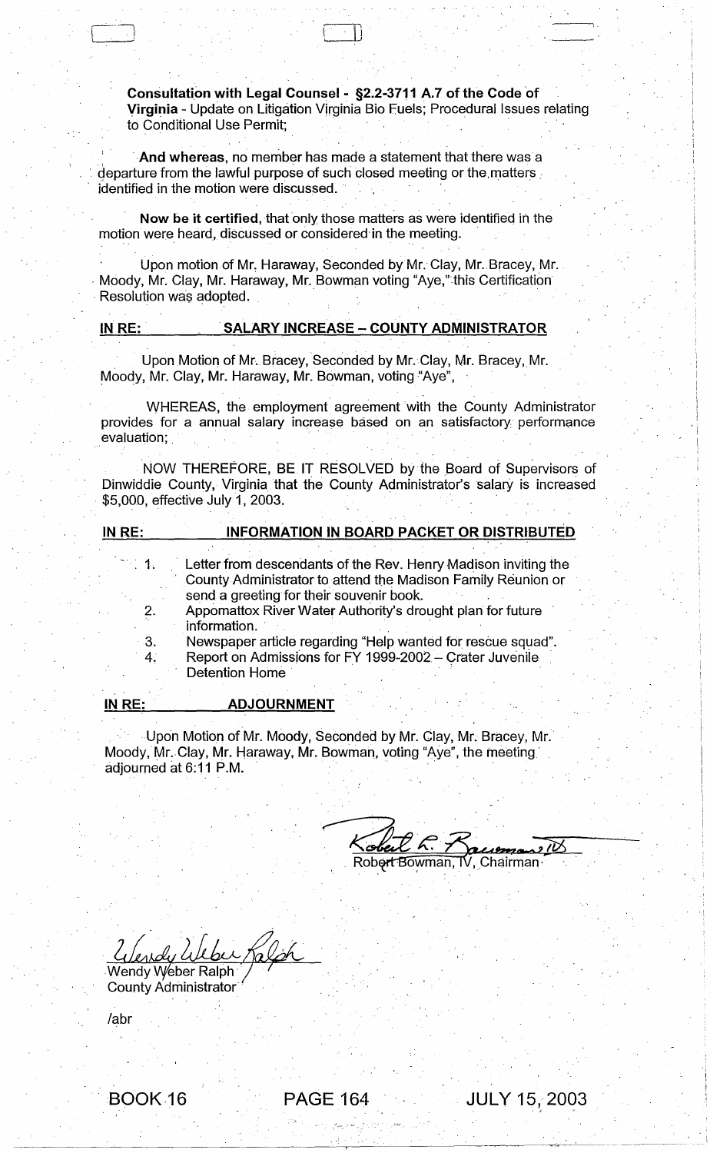Consultation with Legal Counsel - §2.2-3711 A.7 of the Code of Virginia - Update on Litigation Vjrginia Bio Fuels; Procedural Issues relating to Conditional Use Permit;

 $\cdot$ 

.,

. And whereas, no member has made a statement that there was a  $\frac{1}{2}$  departure from the lawful purpose of such closed meeting or the matters identified in the motion were discussed.

 $\blacksquare$  . J  $\blacksquare$  , and the set of the set of the set of the set of the set of the set of the set of the set of the set of the set of the set of the set of the set of the set of the set of the set of the set of the set of

Now be it certified, that only those matters as were identified in the motion were heard, discussed or considered in the meeting.

Upon motion of Mr. Haraway, Seconded by Mr. Clay, Mr. Bracey, Mr. Moody, Mr. Clay, Mr. Haraway, Mr. Bowman voting "Aye," this Certification<br>Resolution was adopted.

#### IN RE: SALARY INCREASE - COUNTY ADMINISTRATOR

Upon Motion of Mr. Bracey, Seconded by Mr. Clay, Mr. Bracey, Mr. Moody, Mr. Clay, Mr. Haraway, Mr. Bowman, voting "Aye",

WHEREAS, the employment agreement with the County Administrator provides for a annual salary increase based on an satisfactory performance evaluation;

. NOW THEREFORE, BE IT RESOLVED by the Board of Supervisors of Dinwiddie County, Virginia that the County Administrator's salary is increased \$5,000, effective July 1, 2003.

| IN RE:              | <b>INFORMATION IN BOARD PACKET OR DISTRIBUTED</b>                                                                                                                          |  |  |
|---------------------|----------------------------------------------------------------------------------------------------------------------------------------------------------------------------|--|--|
| $\mathcal{L} = 1$ . | Letter from descendants of the Rev. Henry Madison inviting the<br>County Administrator to attend the Madison Family Reunion or<br>send a greeting for their souvenir book. |  |  |
| 2.                  | Appomattox River Water Authority's drought plan for future<br>information.                                                                                                 |  |  |
| $-3.$               | Newspaper article regarding "Help wanted for rescue squad".                                                                                                                |  |  |
| 4.                  | Report on Admissions for FY 1999-2002 - Crater Juvenile<br><b>Detention Home</b>                                                                                           |  |  |

Upon Motion of Mr. Moody, Seconded by Mr. Clay, Mr. Bracey, Mr. Moody, Mr:.Clay, Mr. Haraway, Mr. Bowman, voting "Aye", the meeting' adjourned at 6:11 P.M. . "' .

**ADJOURNMENT** 

 $\frac{18.6660 \times 10^{-100}}{7.66660 \times 10^{-100}}$ 

PAGE 164 JULY 15, 2003

2 Vendy Weber Ralph  $h$ 

County Administrator"

labr

IN RE:

 $\overline{\phantom{0}}$ 

. BOOK·16